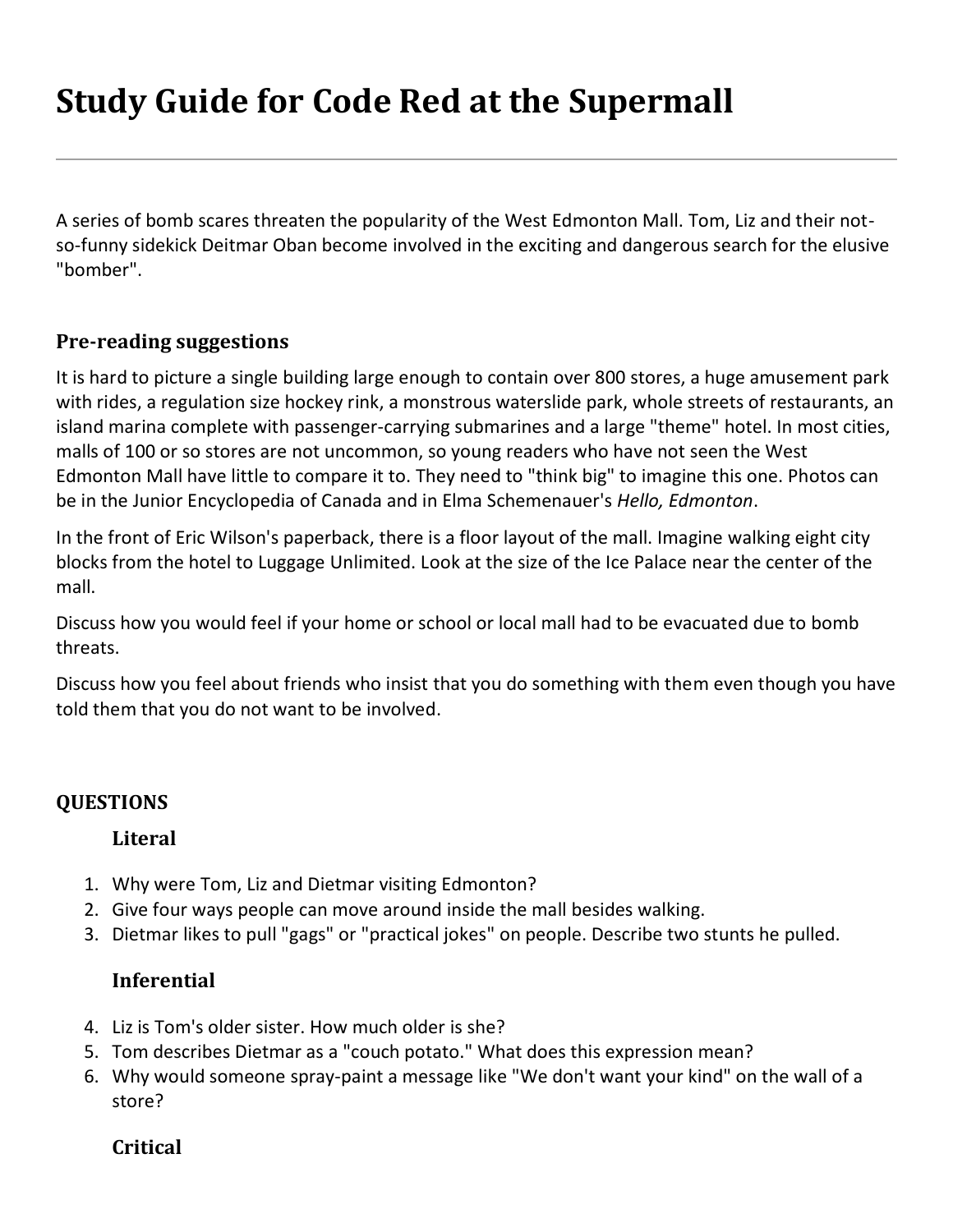# **Study Guide for Code Red at the Supermall**

A series of bomb scares threaten the popularity of the West Edmonton Mall. Tom, Liz and their notso-funny sidekick Deitmar Oban become involved in the exciting and dangerous search for the elusive "bomber".

#### **Pre-reading suggestions**

It is hard to picture a single building large enough to contain over 800 stores, a huge amusement park with rides, a regulation size hockey rink, a monstrous waterslide park, whole streets of restaurants, an island marina complete with passenger-carrying submarines and a large "theme" hotel. In most cities, malls of 100 or so stores are not uncommon, so young readers who have not seen the West Edmonton Mall have little to compare it to. They need to "think big" to imagine this one. Photos can be in the Junior Encyclopedia of Canada and in Elma Schemenauer's *Hello, Edmonton*.

In the front of Eric Wilson's paperback, there is a floor layout of the mall. Imagine walking eight city blocks from the hotel to Luggage Unlimited. Look at the size of the Ice Palace near the center of the mall.

Discuss how you would feel if your home or school or local mall had to be evacuated due to bomb threats.

Discuss how you feel about friends who insist that you do something with them even though you have told them that you do not want to be involved.

# **QUESTIONS**

#### **Literal**

- 1. Why were Tom, Liz and Dietmar visiting Edmonton?
- 2. Give four ways people can move around inside the mall besides walking.
- 3. Dietmar likes to pull "gags" or "practical jokes" on people. Describe two stunts he pulled.

#### **Inferential**

- 4. Liz is Tom's older sister. How much older is she?
- 5. Tom describes Dietmar as a "couch potato." What does this expression mean?
- 6. Why would someone spray-paint a message like "We don't want your kind" on the wall of a store?

#### **Critical**